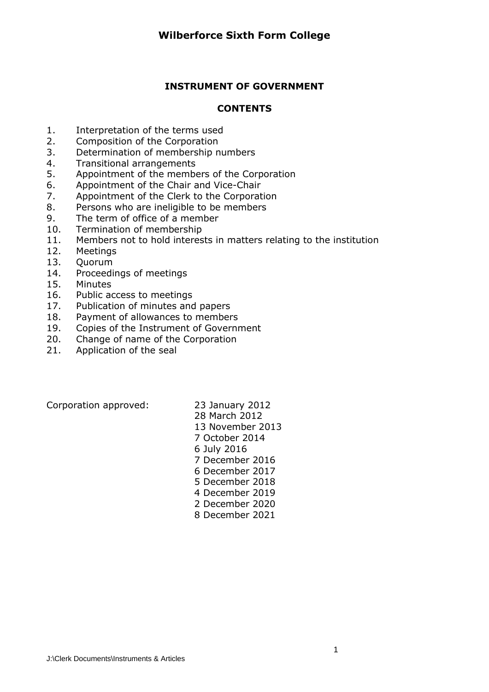### **INSTRUMENT OF GOVERNMENT**

#### **CONTENTS**

- 1. Interpretation of the terms used
- 2. Composition of the Corporation
- 3. Determination of membership numbers
- 4. Transitional arrangements
- 5. Appointment of the members of the Corporation
- 6. Appointment of the Chair and Vice-Chair
- 7. Appointment of the Clerk to the Corporation
- 8. Persons who are ineligible to be members
- 9. The term of office of a member
- 10. Termination of membership
- 11. Members not to hold interests in matters relating to the institution
- 12. Meetings
- 13. Quorum
- 14. Proceedings of meetings
- 15. Minutes
- 16. Public access to meetings
- 17. Publication of minutes and papers
- 18. Payment of allowances to members
- 19. Copies of the Instrument of Government
- 20. Change of name of the Corporation
- 21. Application of the seal

Corporation approved: 23 January 2012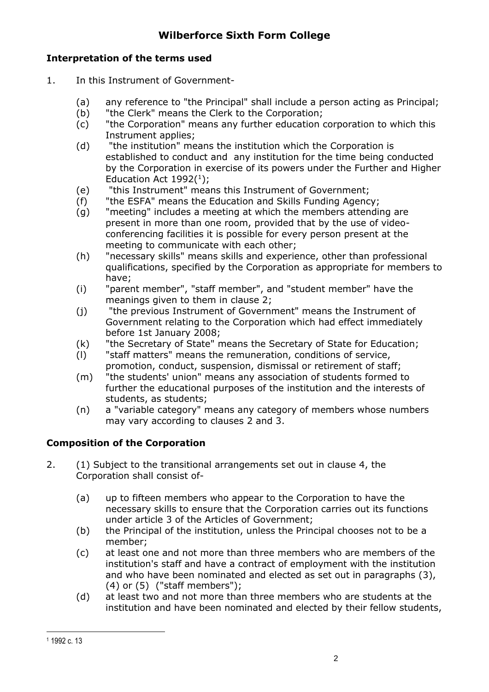## **Interpretation of the terms used**

- 1. In this Instrument of Government-
	- (a) any reference to "the Principal" shall include a person acting as Principal;
	- (b) "the Clerk" means the Clerk to the Corporation;
	- (c) "the Corporation" means any further education corporation to which this Instrument applies;
	- (d) "the institution" means the institution which the Corporation is established to conduct and any institution for the time being conducted by the Corporation in exercise of its powers under the Further and Higher Education Act  $1992(^1)$ ;
	- (e) "this Instrument" means this Instrument of Government;
	- (f) "the ESFA" means the Education and Skills Funding Agency;
	- (g) "meeting" includes a meeting at which the members attending are present in more than one room, provided that by the use of videoconferencing facilities it is possible for every person present at the meeting to communicate with each other;
	- (h) "necessary skills" means skills and experience, other than professional qualifications, specified by the Corporation as appropriate for members to have;
	- (i) "parent member", "staff member", and "student member" have the meanings given to them in clause 2:
	- (j) "the previous Instrument of Government" means the Instrument of Government relating to the Corporation which had effect immediately before 1st January 2008;
	- (k) "the Secretary of State" means the Secretary of State for Education;
	- (l) "staff matters" means the remuneration, conditions of service, promotion, conduct, suspension, dismissal or retirement of staff;
	- (m) "the students' union" means any association of students formed to further the educational purposes of the institution and the interests of students, as students;
	- (n) a "variable category" means any category of members whose numbers may vary according to clauses 2 and 3.

# **Composition of the Corporation**

- 2. (1) Subject to the transitional arrangements set out in clause 4, the Corporation shall consist of-
	- (a) up to fifteen members who appear to the Corporation to have the necessary skills to ensure that the Corporation carries out its functions under article 3 of the Articles of Government;
	- (b) the Principal of the institution, unless the Principal chooses not to be a member;
	- (c) at least one and not more than three members who are members of the institution's staff and have a contract of employment with the institution and who have been nominated and elected as set out in paragraphs (3),  $(4)$  or  $(5)$  ("staff members");
	- (d) at least two and not more than three members who are students at the institution and have been nominated and elected by their fellow students,

<sup>1</sup> 1992 c. 13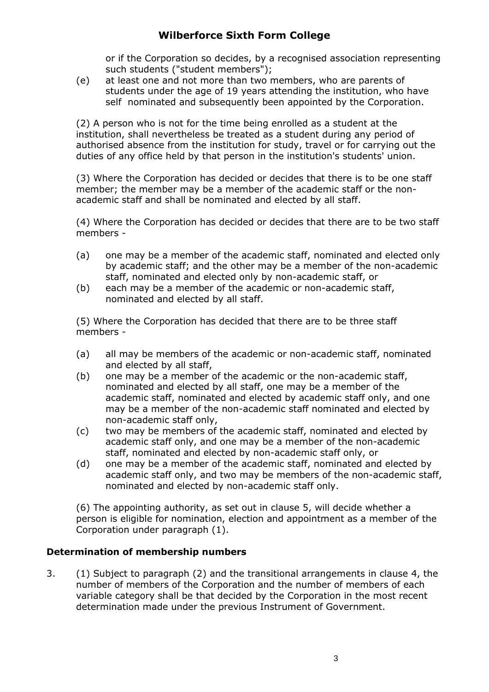or if the Corporation so decides, by a recognised association representing such students ("student members");

(e) at least one and not more than two members, who are parents of students under the age of 19 years attending the institution, who have self nominated and subsequently been appointed by the Corporation.

(2) A person who is not for the time being enrolled as a student at the institution, shall nevertheless be treated as a student during any period of authorised absence from the institution for study, travel or for carrying out the duties of any office held by that person in the institution's students' union.

(3) Where the Corporation has decided or decides that there is to be one staff member; the member may be a member of the academic staff or the nonacademic staff and shall be nominated and elected by all staff.

(4) Where the Corporation has decided or decides that there are to be two staff members -

- (a) one may be a member of the academic staff, nominated and elected only by academic staff; and the other may be a member of the non-academic staff, nominated and elected only by non-academic staff, or
- (b) each may be a member of the academic or non-academic staff, nominated and elected by all staff.

(5) Where the Corporation has decided that there are to be three staff members -

- (a) all may be members of the academic or non-academic staff, nominated and elected by all staff,
- (b) one may be a member of the academic or the non-academic staff, nominated and elected by all staff, one may be a member of the academic staff, nominated and elected by academic staff only, and one may be a member of the non-academic staff nominated and elected by non-academic staff only,
- (c) two may be members of the academic staff, nominated and elected by academic staff only, and one may be a member of the non-academic staff, nominated and elected by non-academic staff only, or
- (d) one may be a member of the academic staff, nominated and elected by academic staff only, and two may be members of the non-academic staff, nominated and elected by non-academic staff only.

(6) The appointing authority, as set out in clause 5, will decide whether a person is eligible for nomination, election and appointment as a member of the Corporation under paragraph (1).

### **Determination of membership numbers**

3. (1) Subject to paragraph (2) and the transitional arrangements in clause 4, the number of members of the Corporation and the number of members of each variable category shall be that decided by the Corporation in the most recent determination made under the previous Instrument of Government.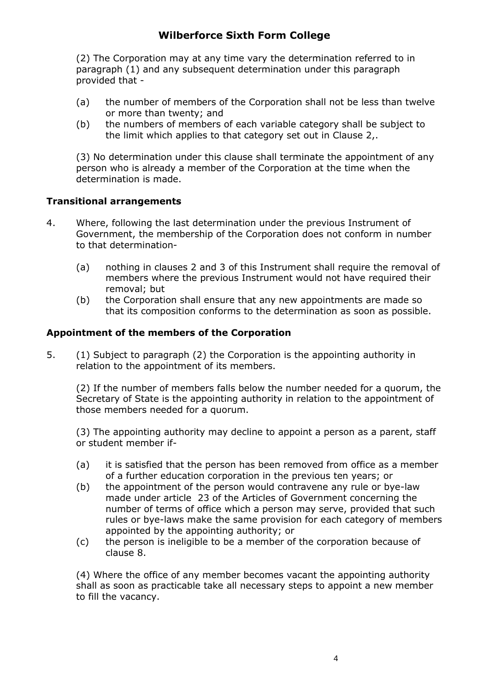(2) The Corporation may at any time vary the determination referred to in paragraph (1) and any subsequent determination under this paragraph provided that -

- (a) the number of members of the Corporation shall not be less than twelve or more than twenty; and
- (b) the numbers of members of each variable category shall be subject to the limit which applies to that category set out in Clause 2,.

(3) No determination under this clause shall terminate the appointment of any person who is already a member of the Corporation at the time when the determination is made.

### **Transitional arrangements**

- 4. Where, following the last determination under the previous Instrument of Government, the membership of the Corporation does not conform in number to that determination-
	- (a) nothing in clauses 2 and 3 of this Instrument shall require the removal of members where the previous Instrument would not have required their removal; but
	- (b) the Corporation shall ensure that any new appointments are made so that its composition conforms to the determination as soon as possible.

### **Appointment of the members of the Corporation**

5. (1) Subject to paragraph (2) the Corporation is the appointing authority in relation to the appointment of its members.

(2) If the number of members falls below the number needed for a quorum, the Secretary of State is the appointing authority in relation to the appointment of those members needed for a quorum.

(3) The appointing authority may decline to appoint a person as a parent, staff or student member if-

- (a) it is satisfied that the person has been removed from office as a member of a further education corporation in the previous ten years; or
- (b) the appointment of the person would contravene any rule or bye-law made under article 23 of the Articles of Government concerning the number of terms of office which a person may serve, provided that such rules or bye-laws make the same provision for each category of members appointed by the appointing authority; or
- (c) the person is ineligible to be a member of the corporation because of clause 8.

(4) Where the office of any member becomes vacant the appointing authority shall as soon as practicable take all necessary steps to appoint a new member to fill the vacancy.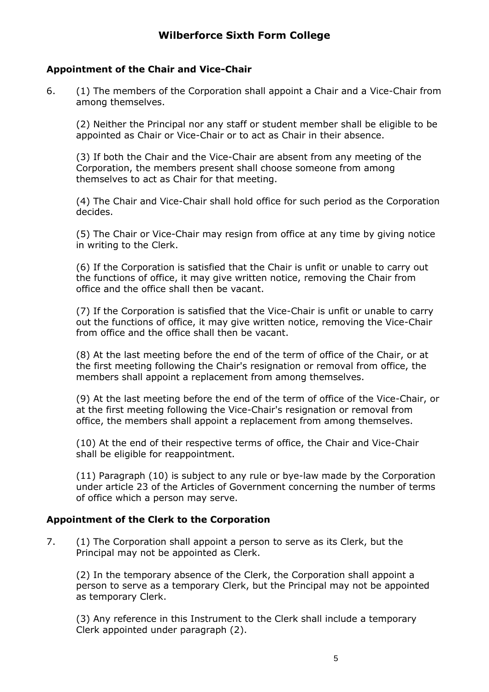### **Appointment of the Chair and Vice-Chair**

6. (1) The members of the Corporation shall appoint a Chair and a Vice-Chair from among themselves.

(2) Neither the Principal nor any staff or student member shall be eligible to be appointed as Chair or Vice-Chair or to act as Chair in their absence.

(3) If both the Chair and the Vice-Chair are absent from any meeting of the Corporation, the members present shall choose someone from among themselves to act as Chair for that meeting.

(4) The Chair and Vice-Chair shall hold office for such period as the Corporation decides.

(5) The Chair or Vice-Chair may resign from office at any time by giving notice in writing to the Clerk.

(6) If the Corporation is satisfied that the Chair is unfit or unable to carry out the functions of office, it may give written notice, removing the Chair from office and the office shall then be vacant.

(7) If the Corporation is satisfied that the Vice-Chair is unfit or unable to carry out the functions of office, it may give written notice, removing the Vice-Chair from office and the office shall then be vacant.

(8) At the last meeting before the end of the term of office of the Chair, or at the first meeting following the Chair's resignation or removal from office, the members shall appoint a replacement from among themselves.

(9) At the last meeting before the end of the term of office of the Vice-Chair, or at the first meeting following the Vice-Chair's resignation or removal from office, the members shall appoint a replacement from among themselves.

(10) At the end of their respective terms of office, the Chair and Vice-Chair shall be eligible for reappointment.

(11) Paragraph (10) is subject to any rule or bye-law made by the Corporation under article 23 of the Articles of Government concerning the number of terms of office which a person may serve.

### **Appointment of the Clerk to the Corporation**

7. (1) The Corporation shall appoint a person to serve as its Clerk, but the Principal may not be appointed as Clerk.

(2) In the temporary absence of the Clerk, the Corporation shall appoint a person to serve as a temporary Clerk, but the Principal may not be appointed as temporary Clerk.

(3) Any reference in this Instrument to the Clerk shall include a temporary Clerk appointed under paragraph (2).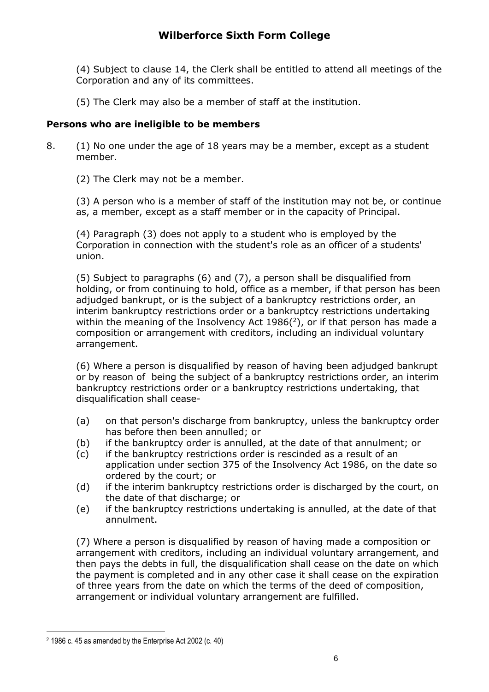(4) Subject to clause 14, the Clerk shall be entitled to attend all meetings of the Corporation and any of its committees.

(5) The Clerk may also be a member of staff at the institution.

## **Persons who are ineligible to be members**

- 8. (1) No one under the age of 18 years may be a member, except as a student member.
	- (2) The Clerk may not be a member.

(3) A person who is a member of staff of the institution may not be, or continue as, a member, except as a staff member or in the capacity of Principal.

(4) Paragraph (3) does not apply to a student who is employed by the Corporation in connection with the student's role as an officer of a students' union.

(5) Subject to paragraphs (6) and (7), a person shall be disqualified from holding, or from continuing to hold, office as a member, if that person has been adjudged bankrupt, or is the subject of a bankruptcy restrictions order, an interim bankruptcy restrictions order or a bankruptcy restrictions undertaking within the meaning of the Insolvency Act 1986 $(2)$ , or if that person has made a composition or arrangement with creditors, including an individual voluntary arrangement.

(6) Where a person is disqualified by reason of having been adjudged bankrupt or by reason of being the subject of a bankruptcy restrictions order, an interim bankruptcy restrictions order or a bankruptcy restrictions undertaking, that disqualification shall cease-

- (a) on that person's discharge from bankruptcy, unless the bankruptcy order has before then been annulled; or
- (b) if the bankruptcy order is annulled, at the date of that annulment; or
- (c) if the bankruptcy restrictions order is rescinded as a result of an application under section 375 of the Insolvency Act 1986, on the date so ordered by the court; or
- (d) if the interim bankruptcy restrictions order is discharged by the court, on the date of that discharge; or
- (e) if the bankruptcy restrictions undertaking is annulled, at the date of that annulment.

(7) Where a person is disqualified by reason of having made a composition or arrangement with creditors, including an individual voluntary arrangement, and then pays the debts in full, the disqualification shall cease on the date on which the payment is completed and in any other case it shall cease on the expiration of three years from the date on which the terms of the deed of composition, arrangement or individual voluntary arrangement are fulfilled.

<sup>2</sup> 1986 c. 45 as amended by the Enterprise Act 2002 (c. 40)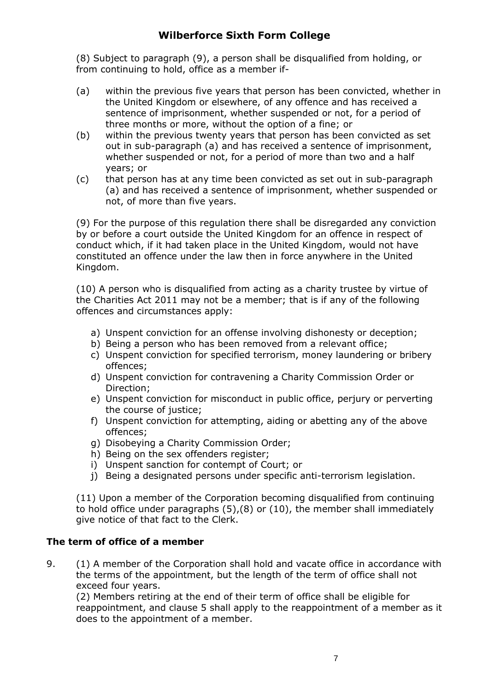(8) Subject to paragraph (9), a person shall be disqualified from holding, or from continuing to hold, office as a member if-

- (a) within the previous five years that person has been convicted, whether in the United Kingdom or elsewhere, of any offence and has received a sentence of imprisonment, whether suspended or not, for a period of three months or more, without the option of a fine; or
- (b) within the previous twenty years that person has been convicted as set out in sub-paragraph (a) and has received a sentence of imprisonment, whether suspended or not, for a period of more than two and a half years; or
- (c) that person has at any time been convicted as set out in sub-paragraph (a) and has received a sentence of imprisonment, whether suspended or not, of more than five years.

(9) For the purpose of this regulation there shall be disregarded any conviction by or before a court outside the United Kingdom for an offence in respect of conduct which, if it had taken place in the United Kingdom, would not have constituted an offence under the law then in force anywhere in the United Kingdom.

(10) A person who is disqualified from acting as a charity trustee by virtue of the Charities Act 2011 may not be a member; that is if any of the following offences and circumstances apply:

- a) Unspent conviction for an offense involving dishonesty or deception;
- b) Being a person who has been removed from a relevant office;
- c) Unspent conviction for specified terrorism, money laundering or bribery offences;
- d) Unspent conviction for contravening a Charity Commission Order or Direction;
- e) Unspent conviction for misconduct in public office, perjury or perverting the course of justice;
- f) Unspent conviction for attempting, aiding or abetting any of the above offences;
- g) Disobeying a Charity Commission Order;
- h) Being on the sex offenders register;
- i) Unspent sanction for contempt of Court; or
- j) Being a designated persons under specific anti-terrorism legislation.

(11) Upon a member of the Corporation becoming disqualified from continuing to hold office under paragraphs (5),(8) or (10), the member shall immediately give notice of that fact to the Clerk.

### **The term of office of a member**

9. (1) A member of the Corporation shall hold and vacate office in accordance with the terms of the appointment, but the length of the term of office shall not exceed four years.

(2) Members retiring at the end of their term of office shall be eligible for reappointment, and clause 5 shall apply to the reappointment of a member as it does to the appointment of a member.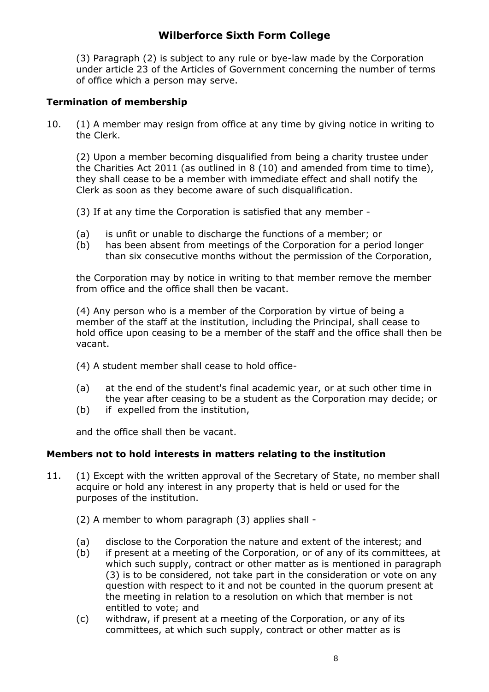(3) Paragraph (2) is subject to any rule or bye-law made by the Corporation under article 23 of the Articles of Government concerning the number of terms of office which a person may serve.

### **Termination of membership**

10. (1) A member may resign from office at any time by giving notice in writing to the Clerk.

(2) Upon a member becoming disqualified from being a charity trustee under the Charities Act 2011 (as outlined in 8 (10) and amended from time to time), they shall cease to be a member with immediate effect and shall notify the Clerk as soon as they become aware of such disqualification.

- (3) If at any time the Corporation is satisfied that any member -
- (a) is unfit or unable to discharge the functions of a member; or
- (b) has been absent from meetings of the Corporation for a period longer than six consecutive months without the permission of the Corporation,

the Corporation may by notice in writing to that member remove the member from office and the office shall then be vacant.

(4) Any person who is a member of the Corporation by virtue of being a member of the staff at the institution, including the Principal, shall cease to hold office upon ceasing to be a member of the staff and the office shall then be vacant.

- (4) A student member shall cease to hold office-
- (a) at the end of the student's final academic year, or at such other time in the year after ceasing to be a student as the Corporation may decide; or
- (b) if expelled from the institution,

and the office shall then be vacant.

### **Members not to hold interests in matters relating to the institution**

- 11. (1) Except with the written approval of the Secretary of State, no member shall acquire or hold any interest in any property that is held or used for the purposes of the institution.
	- (2) A member to whom paragraph (3) applies shall -
	- (a) disclose to the Corporation the nature and extent of the interest; and
	- (b) if present at a meeting of the Corporation, or of any of its committees, at which such supply, contract or other matter as is mentioned in paragraph (3) is to be considered, not take part in the consideration or vote on any question with respect to it and not be counted in the quorum present at the meeting in relation to a resolution on which that member is not entitled to vote; and
	- (c) withdraw, if present at a meeting of the Corporation, or any of its committees, at which such supply, contract or other matter as is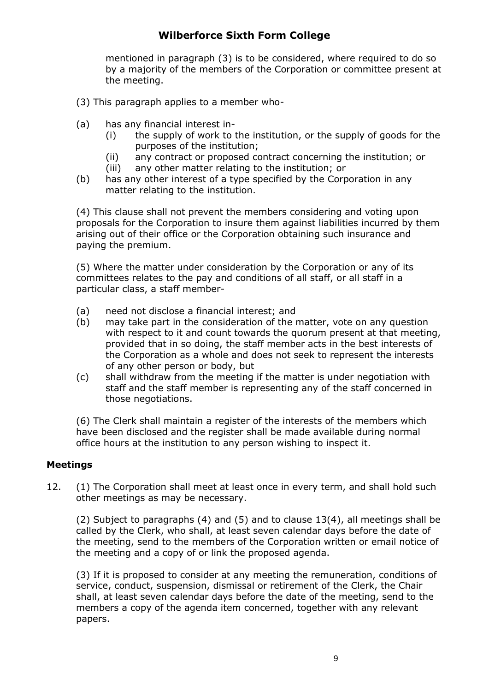mentioned in paragraph (3) is to be considered, where required to do so by a majority of the members of the Corporation or committee present at the meeting.

- (3) This paragraph applies to a member who-
- (a) has any financial interest in-
	- (i) the supply of work to the institution, or the supply of goods for the purposes of the institution;
	- (ii) any contract or proposed contract concerning the institution; or
	- (iii) any other matter relating to the institution; or
- (b) has any other interest of a type specified by the Corporation in any matter relating to the institution.

(4) This clause shall not prevent the members considering and voting upon proposals for the Corporation to insure them against liabilities incurred by them arising out of their office or the Corporation obtaining such insurance and paying the premium.

(5) Where the matter under consideration by the Corporation or any of its committees relates to the pay and conditions of all staff, or all staff in a particular class, a staff member-

- (a) need not disclose a financial interest; and
- (b) may take part in the consideration of the matter, vote on any question with respect to it and count towards the quorum present at that meeting, provided that in so doing, the staff member acts in the best interests of the Corporation as a whole and does not seek to represent the interests of any other person or body, but
- (c) shall withdraw from the meeting if the matter is under negotiation with staff and the staff member is representing any of the staff concerned in those negotiations.

(6) The Clerk shall maintain a register of the interests of the members which have been disclosed and the register shall be made available during normal office hours at the institution to any person wishing to inspect it.

### **Meetings**

12. (1) The Corporation shall meet at least once in every term, and shall hold such other meetings as may be necessary.

(2) Subject to paragraphs (4) and (5) and to clause 13(4), all meetings shall be called by the Clerk, who shall, at least seven calendar days before the date of the meeting, send to the members of the Corporation written or email notice of the meeting and a copy of or link the proposed agenda.

(3) If it is proposed to consider at any meeting the remuneration, conditions of service, conduct, suspension, dismissal or retirement of the Clerk, the Chair shall, at least seven calendar days before the date of the meeting, send to the members a copy of the agenda item concerned, together with any relevant papers.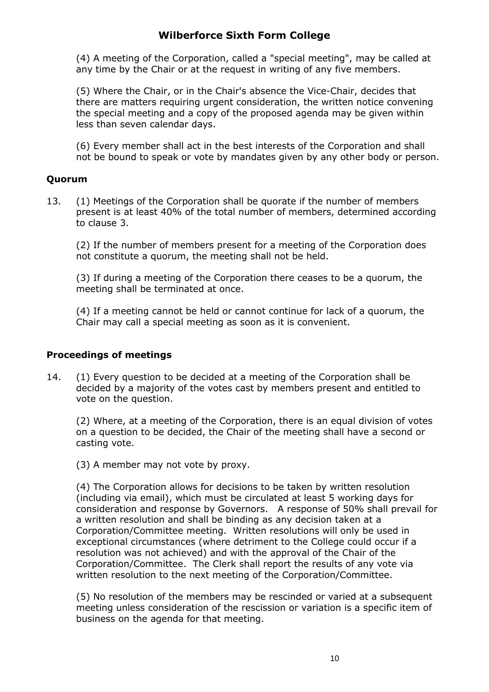(4) A meeting of the Corporation, called a "special meeting", may be called at any time by the Chair or at the request in writing of any five members.

(5) Where the Chair, or in the Chair's absence the Vice-Chair, decides that there are matters requiring urgent consideration, the written notice convening the special meeting and a copy of the proposed agenda may be given within less than seven calendar days.

(6) Every member shall act in the best interests of the Corporation and shall not be bound to speak or vote by mandates given by any other body or person.

### **Quorum**

13. (1) Meetings of the Corporation shall be quorate if the number of members present is at least 40% of the total number of members, determined according to clause 3.

(2) If the number of members present for a meeting of the Corporation does not constitute a quorum, the meeting shall not be held.

(3) If during a meeting of the Corporation there ceases to be a quorum, the meeting shall be terminated at once.

(4) If a meeting cannot be held or cannot continue for lack of a quorum, the Chair may call a special meeting as soon as it is convenient.

### **Proceedings of meetings**

14. (1) Every question to be decided at a meeting of the Corporation shall be decided by a majority of the votes cast by members present and entitled to vote on the question.

(2) Where, at a meeting of the Corporation, there is an equal division of votes on a question to be decided, the Chair of the meeting shall have a second or casting vote.

(3) A member may not vote by proxy.

(4) The Corporation allows for decisions to be taken by written resolution (including via email), which must be circulated at least 5 working days for consideration and response by Governors. A response of 50% shall prevail for a written resolution and shall be binding as any decision taken at a Corporation/Committee meeting. Written resolutions will only be used in exceptional circumstances (where detriment to the College could occur if a resolution was not achieved) and with the approval of the Chair of the Corporation/Committee. The Clerk shall report the results of any vote via written resolution to the next meeting of the Corporation/Committee.

(5) No resolution of the members may be rescinded or varied at a subsequent meeting unless consideration of the rescission or variation is a specific item of business on the agenda for that meeting.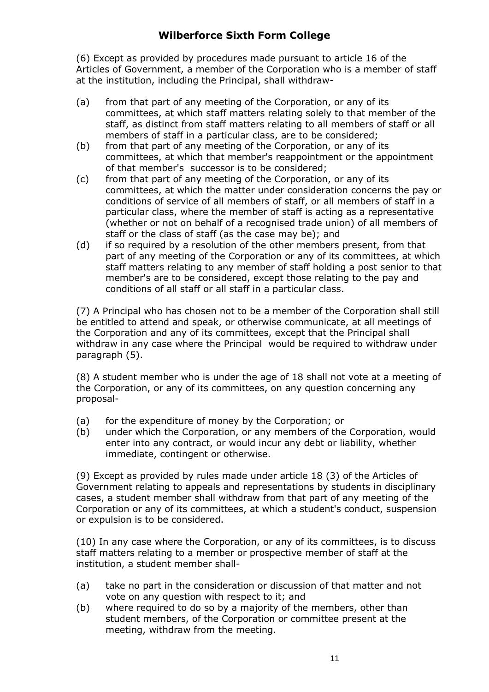(6) Except as provided by procedures made pursuant to article 16 of the Articles of Government, a member of the Corporation who is a member of staff at the institution, including the Principal, shall withdraw-

- (a) from that part of any meeting of the Corporation, or any of its committees, at which staff matters relating solely to that member of the staff, as distinct from staff matters relating to all members of staff or all members of staff in a particular class, are to be considered;
- (b) from that part of any meeting of the Corporation, or any of its committees, at which that member's reappointment or the appointment of that member's successor is to be considered;
- (c) from that part of any meeting of the Corporation, or any of its committees, at which the matter under consideration concerns the pay or conditions of service of all members of staff, or all members of staff in a particular class, where the member of staff is acting as a representative (whether or not on behalf of a recognised trade union) of all members of staff or the class of staff (as the case may be); and
- (d) if so required by a resolution of the other members present, from that part of any meeting of the Corporation or any of its committees, at which staff matters relating to any member of staff holding a post senior to that member's are to be considered, except those relating to the pay and conditions of all staff or all staff in a particular class.

(7) A Principal who has chosen not to be a member of the Corporation shall still be entitled to attend and speak, or otherwise communicate, at all meetings of the Corporation and any of its committees, except that the Principal shall withdraw in any case where the Principal would be required to withdraw under paragraph (5).

(8) A student member who is under the age of 18 shall not vote at a meeting of the Corporation, or any of its committees, on any question concerning any proposal-

- (a) for the expenditure of money by the Corporation; or
- (b) under which the Corporation, or any members of the Corporation, would enter into any contract, or would incur any debt or liability, whether immediate, contingent or otherwise.

(9) Except as provided by rules made under article 18 (3) of the Articles of Government relating to appeals and representations by students in disciplinary cases, a student member shall withdraw from that part of any meeting of the Corporation or any of its committees, at which a student's conduct, suspension or expulsion is to be considered.

(10) In any case where the Corporation, or any of its committees, is to discuss staff matters relating to a member or prospective member of staff at the institution, a student member shall-

- (a) take no part in the consideration or discussion of that matter and not vote on any question with respect to it; and
- (b) where required to do so by a majority of the members, other than student members, of the Corporation or committee present at the meeting, withdraw from the meeting.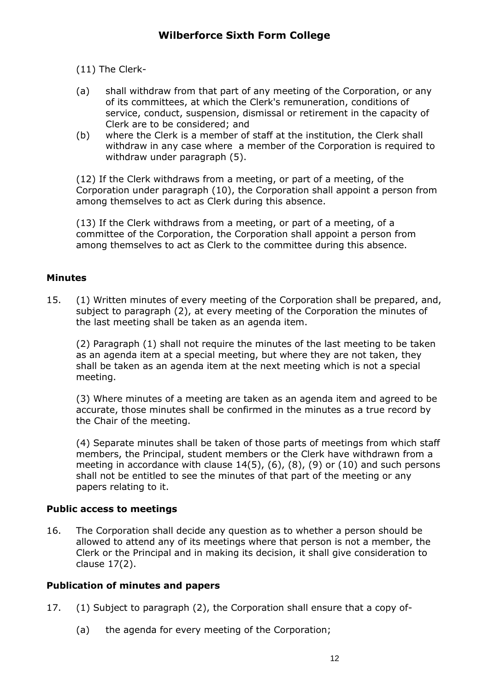(11) The Clerk-

- (a) shall withdraw from that part of any meeting of the Corporation, or any of its committees, at which the Clerk's remuneration, conditions of service, conduct, suspension, dismissal or retirement in the capacity of Clerk are to be considered; and
- (b) where the Clerk is a member of staff at the institution, the Clerk shall withdraw in any case where a member of the Corporation is required to withdraw under paragraph (5).

(12) If the Clerk withdraws from a meeting, or part of a meeting, of the Corporation under paragraph (10), the Corporation shall appoint a person from among themselves to act as Clerk during this absence.

(13) If the Clerk withdraws from a meeting, or part of a meeting, of a committee of the Corporation, the Corporation shall appoint a person from among themselves to act as Clerk to the committee during this absence.

### **Minutes**

15. (1) Written minutes of every meeting of the Corporation shall be prepared, and, subject to paragraph (2), at every meeting of the Corporation the minutes of the last meeting shall be taken as an agenda item.

(2) Paragraph (1) shall not require the minutes of the last meeting to be taken as an agenda item at a special meeting, but where they are not taken, they shall be taken as an agenda item at the next meeting which is not a special meeting.

(3) Where minutes of a meeting are taken as an agenda item and agreed to be accurate, those minutes shall be confirmed in the minutes as a true record by the Chair of the meeting.

(4) Separate minutes shall be taken of those parts of meetings from which staff members, the Principal, student members or the Clerk have withdrawn from a meeting in accordance with clause 14(5), (6), (8), (9) or (10) and such persons shall not be entitled to see the minutes of that part of the meeting or any papers relating to it.

### **Public access to meetings**

16. The Corporation shall decide any question as to whether a person should be allowed to attend any of its meetings where that person is not a member, the Clerk or the Principal and in making its decision, it shall give consideration to clause 17(2).

### **Publication of minutes and papers**

- 17. (1) Subject to paragraph (2), the Corporation shall ensure that a copy of-
	- (a) the agenda for every meeting of the Corporation;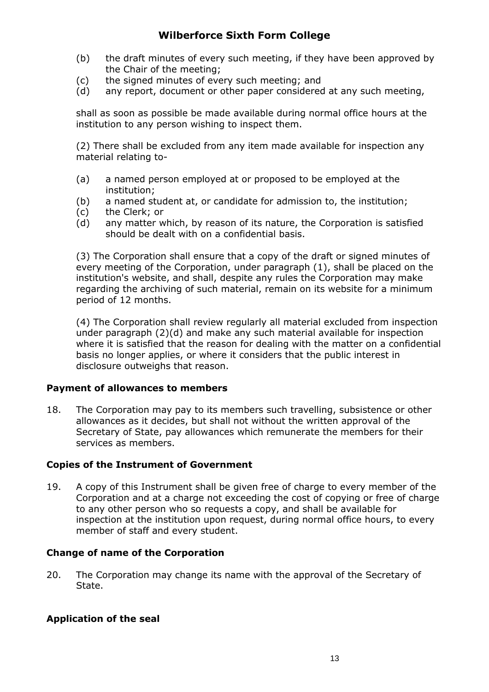- (b) the draft minutes of every such meeting, if they have been approved by the Chair of the meeting;
- (c) the signed minutes of every such meeting; and
- (d) any report, document or other paper considered at any such meeting,

shall as soon as possible be made available during normal office hours at the institution to any person wishing to inspect them.

(2) There shall be excluded from any item made available for inspection any material relating to-

- (a) a named person employed at or proposed to be employed at the institution;
- (b) a named student at, or candidate for admission to, the institution;
- (c) the Clerk; or
- (d) any matter which, by reason of its nature, the Corporation is satisfied should be dealt with on a confidential basis.

(3) The Corporation shall ensure that a copy of the draft or signed minutes of every meeting of the Corporation, under paragraph (1), shall be placed on the institution's website, and shall, despite any rules the Corporation may make regarding the archiving of such material, remain on its website for a minimum period of 12 months.

(4) The Corporation shall review regularly all material excluded from inspection under paragraph (2)(d) and make any such material available for inspection where it is satisfied that the reason for dealing with the matter on a confidential basis no longer applies, or where it considers that the public interest in disclosure outweighs that reason.

#### **Payment of allowances to members**

18. The Corporation may pay to its members such travelling, subsistence or other allowances as it decides, but shall not without the written approval of the Secretary of State, pay allowances which remunerate the members for their services as members.

### **Copies of the Instrument of Government**

19. A copy of this Instrument shall be given free of charge to every member of the Corporation and at a charge not exceeding the cost of copying or free of charge to any other person who so requests a copy, and shall be available for inspection at the institution upon request, during normal office hours, to every member of staff and every student.

### **Change of name of the Corporation**

20. The Corporation may change its name with the approval of the Secretary of State.

### **Application of the seal**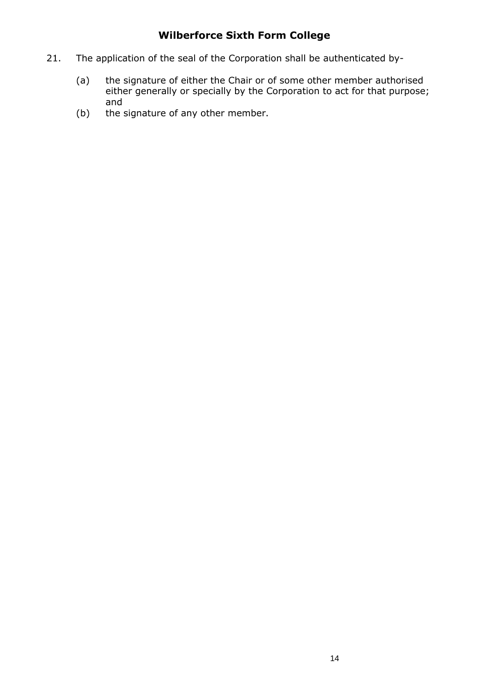- 21. The application of the seal of the Corporation shall be authenticated by-
	- (a) the signature of either the Chair or of some other member authorised either generally or specially by the Corporation to act for that purpose; and
	- (b) the signature of any other member.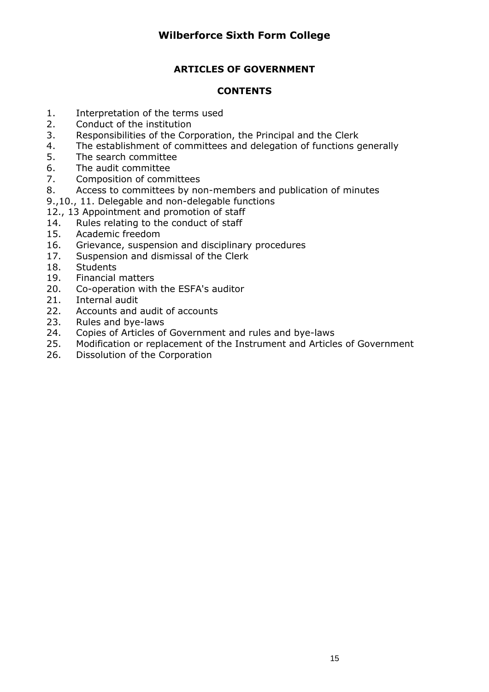# **ARTICLES OF GOVERNMENT**

### **CONTENTS**

- 1. Interpretation of the terms used
- 2. Conduct of the institution
- 3. Responsibilities of the Corporation, the Principal and the Clerk
- 4. The establishment of committees and delegation of functions generally
- 5. The search committee
- 6. The audit committee
- 7. Composition of committees
- 8. Access to committees by non-members and publication of minutes
- 9.,10., 11. Delegable and non-delegable functions
- 12., 13 Appointment and promotion of staff
- 14. Rules relating to the conduct of staff
- 15. Academic freedom
- 16. Grievance, suspension and disciplinary procedures
- 17. Suspension and dismissal of the Clerk
- 18. Students
- 19. Financial matters
- 20. Co-operation with the ESFA's auditor
- 21. Internal audit
- 22. Accounts and audit of accounts
- 23. Rules and bye-laws
- 24. Copies of Articles of Government and rules and bye-laws
- 25. Modification or replacement of the Instrument and Articles of Government
- 26. Dissolution of the Corporation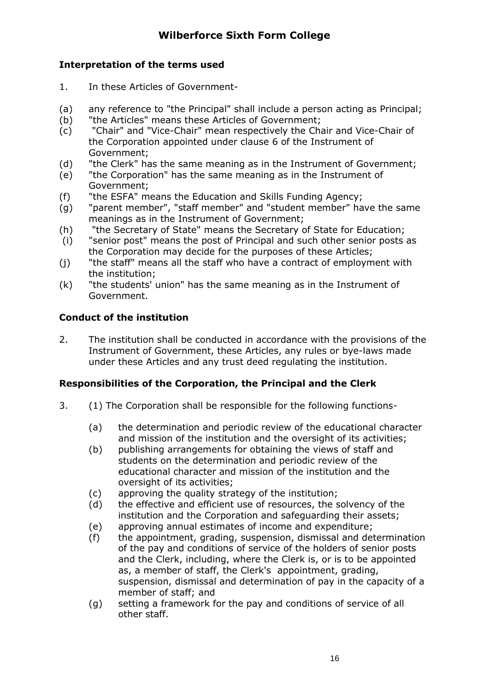# **Interpretation of the terms used**

- 1. In these Articles of Government-
- (a) any reference to "the Principal" shall include a person acting as Principal;
- (b) "the Articles" means these Articles of Government;
- (c) "Chair" and "Vice-Chair" mean respectively the Chair and Vice-Chair of the Corporation appointed under clause 6 of the Instrument of Government;
- (d) "the Clerk" has the same meaning as in the Instrument of Government;
- (e) "the Corporation" has the same meaning as in the Instrument of Government;
- (f) "the ESFA" means the Education and Skills Funding Agency;
- (g) "parent member", "staff member" and "student member" have the same meanings as in the Instrument of Government;
- (h) "the Secretary of State" means the Secretary of State for Education;
- (i) "senior post" means the post of Principal and such other senior posts as the Corporation may decide for the purposes of these Articles;
- (j) "the staff" means all the staff who have a contract of employment with the institution;
- (k) "the students' union" has the same meaning as in the Instrument of Government.

## **Conduct of the institution**

2. The institution shall be conducted in accordance with the provisions of the Instrument of Government, these Articles, any rules or bye-laws made under these Articles and any trust deed regulating the institution.

## **Responsibilities of the Corporation, the Principal and the Clerk**

- 3. (1) The Corporation shall be responsible for the following functions-
	- (a) the determination and periodic review of the educational character and mission of the institution and the oversight of its activities;
	- (b) publishing arrangements for obtaining the views of staff and students on the determination and periodic review of the educational character and mission of the institution and the oversight of its activities;
	- (c) approving the quality strategy of the institution;
	- (d) the effective and efficient use of resources, the solvency of the institution and the Corporation and safeguarding their assets;
	- (e) approving annual estimates of income and expenditure;
	- (f) the appointment, grading, suspension, dismissal and determination of the pay and conditions of service of the holders of senior posts and the Clerk, including, where the Clerk is, or is to be appointed as, a member of staff, the Clerk's appointment, grading, suspension, dismissal and determination of pay in the capacity of a member of staff; and
	- (g) setting a framework for the pay and conditions of service of all other staff.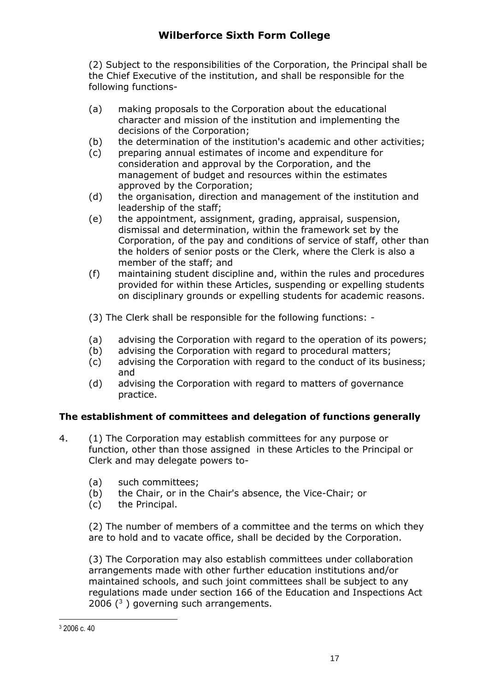(2) Subject to the responsibilities of the Corporation, the Principal shall be the Chief Executive of the institution, and shall be responsible for the following functions-

- (a) making proposals to the Corporation about the educational character and mission of the institution and implementing the decisions of the Corporation;
- (b) the determination of the institution's academic and other activities;
- (c) preparing annual estimates of income and expenditure for consideration and approval by the Corporation, and the management of budget and resources within the estimates approved by the Corporation;
- (d) the organisation, direction and management of the institution and leadership of the staff;
- (e) the appointment, assignment, grading, appraisal, suspension, dismissal and determination, within the framework set by the Corporation, of the pay and conditions of service of staff, other than the holders of senior posts or the Clerk, where the Clerk is also a member of the staff; and
- (f) maintaining student discipline and, within the rules and procedures provided for within these Articles, suspending or expelling students on disciplinary grounds or expelling students for academic reasons.
- (3) The Clerk shall be responsible for the following functions: -
- (a) advising the Corporation with regard to the operation of its powers;
- (b) advising the Corporation with regard to procedural matters;
- (c) advising the Corporation with regard to the conduct of its business; and
- (d) advising the Corporation with regard to matters of governance practice.

## **The establishment of committees and delegation of functions generally**

- 4. (1) The Corporation may establish committees for any purpose or function, other than those assigned in these Articles to the Principal or Clerk and may delegate powers to-
	- (a) such committees;
	- (b) the Chair, or in the Chair's absence, the Vice-Chair; or
	- (c) the Principal.

(2) The number of members of a committee and the terms on which they are to hold and to vacate office, shall be decided by the Corporation.

(3) The Corporation may also establish committees under collaboration arrangements made with other further education institutions and/or maintained schools, and such joint committees shall be subject to any regulations made under section 166 of the Education and Inspections Act 2006 $(3)$  governing such arrangements.

<sup>3</sup> 2006 c. 40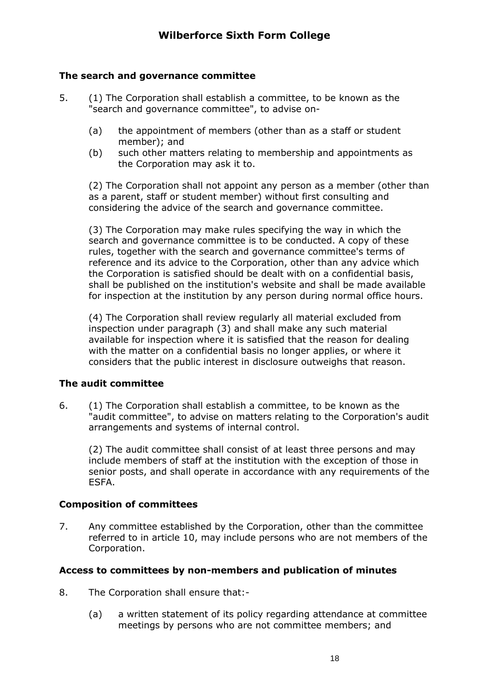### **The search and governance committee**

- 5. (1) The Corporation shall establish a committee, to be known as the "search and governance committee", to advise on-
	- (a) the appointment of members (other than as a staff or student member); and
	- (b) such other matters relating to membership and appointments as the Corporation may ask it to.

(2) The Corporation shall not appoint any person as a member (other than as a parent, staff or student member) without first consulting and considering the advice of the search and governance committee.

(3) The Corporation may make rules specifying the way in which the search and governance committee is to be conducted. A copy of these rules, together with the search and governance committee's terms of reference and its advice to the Corporation, other than any advice which the Corporation is satisfied should be dealt with on a confidential basis, shall be published on the institution's website and shall be made available for inspection at the institution by any person during normal office hours.

(4) The Corporation shall review regularly all material excluded from inspection under paragraph (3) and shall make any such material available for inspection where it is satisfied that the reason for dealing with the matter on a confidential basis no longer applies, or where it considers that the public interest in disclosure outweighs that reason.

### **The audit committee**

6. (1) The Corporation shall establish a committee, to be known as the "audit committee", to advise on matters relating to the Corporation's audit arrangements and systems of internal control.

(2) The audit committee shall consist of at least three persons and may include members of staff at the institution with the exception of those in senior posts, and shall operate in accordance with any requirements of the ESFA.

### **Composition of committees**

7. Any committee established by the Corporation, other than the committee referred to in article 10, may include persons who are not members of the Corporation.

## **Access to committees by non-members and publication of minutes**

- 8. The Corporation shall ensure that:-
	- (a) a written statement of its policy regarding attendance at committee meetings by persons who are not committee members; and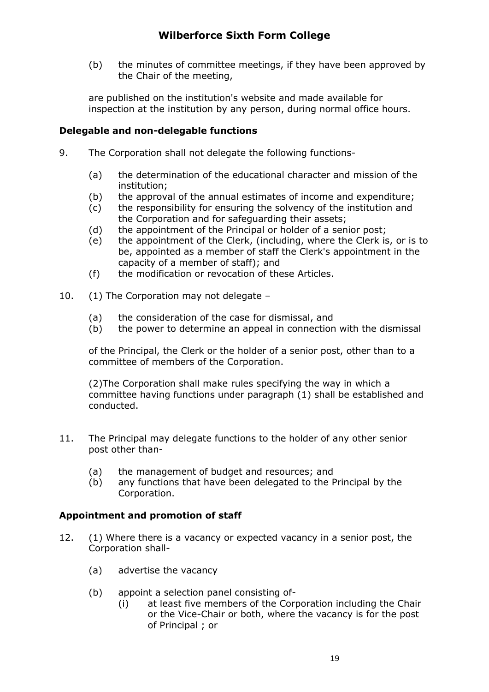(b) the minutes of committee meetings, if they have been approved by the Chair of the meeting,

are published on the institution's website and made available for inspection at the institution by any person, during normal office hours.

### **Delegable and non-delegable functions**

- 9. The Corporation shall not delegate the following functions-
	- (a) the determination of the educational character and mission of the institution;
	- (b) the approval of the annual estimates of income and expenditure;
	- (c) the responsibility for ensuring the solvency of the institution and the Corporation and for safeguarding their assets;
	- (d) the appointment of the Principal or holder of a senior post;
	- (e) the appointment of the Clerk, (including, where the Clerk is, or is to be, appointed as a member of staff the Clerk's appointment in the capacity of a member of staff); and
	- (f) the modification or revocation of these Articles.
- 10. (1) The Corporation may not delegate
	- (a) the consideration of the case for dismissal, and
	- (b) the power to determine an appeal in connection with the dismissal

of the Principal, the Clerk or the holder of a senior post, other than to a committee of members of the Corporation.

(2)The Corporation shall make rules specifying the way in which a committee having functions under paragraph (1) shall be established and conducted.

- 11. The Principal may delegate functions to the holder of any other senior post other than-
	- (a) the management of budget and resources; and
	- (b) any functions that have been delegated to the Principal by the Corporation.

## **Appointment and promotion of staff**

- 12. (1) Where there is a vacancy or expected vacancy in a senior post, the Corporation shall-
	- (a) advertise the vacancy
	- (b) appoint a selection panel consisting of-
		- (i) at least five members of the Corporation including the Chair or the Vice-Chair or both, where the vacancy is for the post of Principal ; or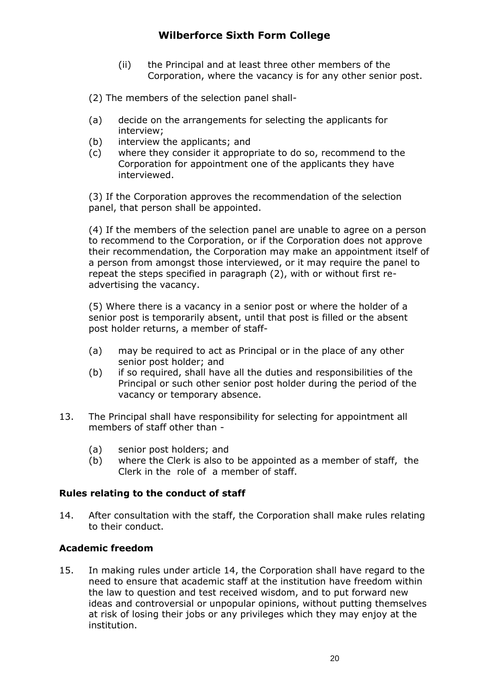- (ii) the Principal and at least three other members of the Corporation, where the vacancy is for any other senior post.
- (2) The members of the selection panel shall-
- (a) decide on the arrangements for selecting the applicants for interview;
- (b) interview the applicants; and
- (c) where they consider it appropriate to do so, recommend to the Corporation for appointment one of the applicants they have interviewed.

(3) If the Corporation approves the recommendation of the selection panel, that person shall be appointed.

(4) If the members of the selection panel are unable to agree on a person to recommend to the Corporation, or if the Corporation does not approve their recommendation, the Corporation may make an appointment itself of a person from amongst those interviewed, or it may require the panel to repeat the steps specified in paragraph (2), with or without first readvertising the vacancy.

(5) Where there is a vacancy in a senior post or where the holder of a senior post is temporarily absent, until that post is filled or the absent post holder returns, a member of staff-

- (a) may be required to act as Principal or in the place of any other senior post holder; and
- (b) if so required, shall have all the duties and responsibilities of the Principal or such other senior post holder during the period of the vacancy or temporary absence.
- 13. The Principal shall have responsibility for selecting for appointment all members of staff other than -
	- (a) senior post holders; and
	- (b) where the Clerk is also to be appointed as a member of staff, the Clerk in the role of a member of staff.

#### **Rules relating to the conduct of staff**

14. After consultation with the staff, the Corporation shall make rules relating to their conduct.

### **Academic freedom**

15. In making rules under article 14, the Corporation shall have regard to the need to ensure that academic staff at the institution have freedom within the law to question and test received wisdom, and to put forward new ideas and controversial or unpopular opinions, without putting themselves at risk of losing their jobs or any privileges which they may enjoy at the institution.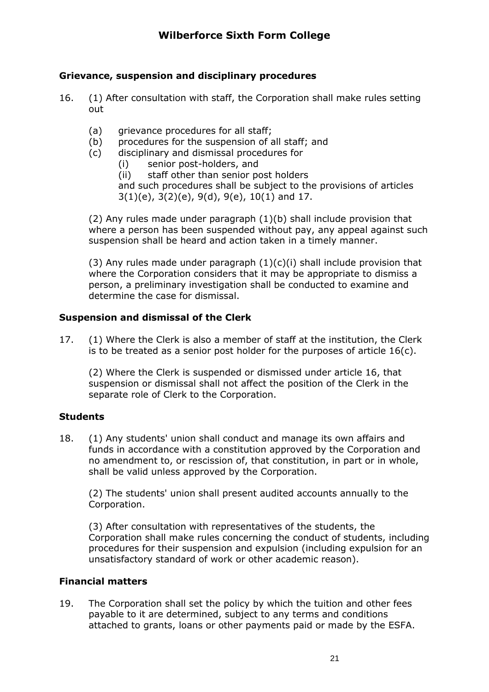### **Grievance, suspension and disciplinary procedures**

- 16. (1) After consultation with staff, the Corporation shall make rules setting out
	- (a) grievance procedures for all staff;
	- (b) procedures for the suspension of all staff; and
	- (c) disciplinary and dismissal procedures for
		- (i) senior post-holders, and
		- (ii) staff other than senior post holders

and such procedures shall be subject to the provisions of articles  $3(1)(e)$ ,  $3(2)(e)$ ,  $9(d)$ ,  $9(e)$ ,  $10(1)$  and 17.

(2) Any rules made under paragraph (1)(b) shall include provision that where a person has been suspended without pay, any appeal against such suspension shall be heard and action taken in a timely manner.

(3) Any rules made under paragraph  $(1)(c)(i)$  shall include provision that where the Corporation considers that it may be appropriate to dismiss a person, a preliminary investigation shall be conducted to examine and determine the case for dismissal.

### **Suspension and dismissal of the Clerk**

17. (1) Where the Clerk is also a member of staff at the institution, the Clerk is to be treated as a senior post holder for the purposes of article 16(c).

(2) Where the Clerk is suspended or dismissed under article 16, that suspension or dismissal shall not affect the position of the Clerk in the separate role of Clerk to the Corporation.

### **Students**

18. (1) Any students' union shall conduct and manage its own affairs and funds in accordance with a constitution approved by the Corporation and no amendment to, or rescission of, that constitution, in part or in whole, shall be valid unless approved by the Corporation.

(2) The students' union shall present audited accounts annually to the Corporation.

(3) After consultation with representatives of the students, the Corporation shall make rules concerning the conduct of students, including procedures for their suspension and expulsion (including expulsion for an unsatisfactory standard of work or other academic reason).

### **Financial matters**

19. The Corporation shall set the policy by which the tuition and other fees payable to it are determined, subject to any terms and conditions attached to grants, loans or other payments paid or made by the ESFA.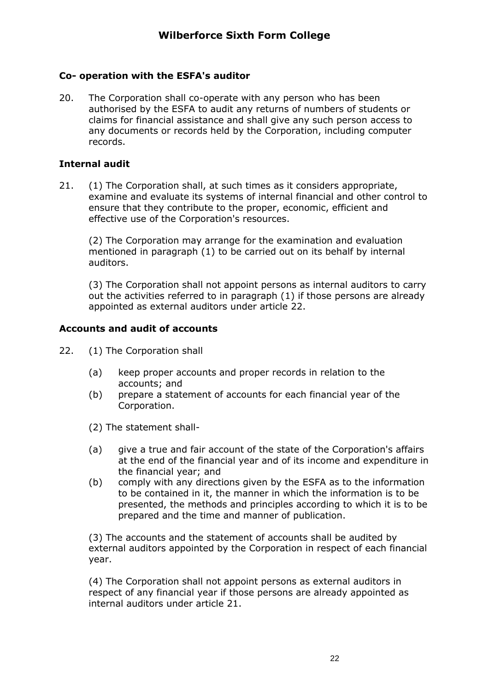### **Co- operation with the ESFA's auditor**

20. The Corporation shall co-operate with any person who has been authorised by the ESFA to audit any returns of numbers of students or claims for financial assistance and shall give any such person access to any documents or records held by the Corporation, including computer records.

#### **Internal audit**

21. (1) The Corporation shall, at such times as it considers appropriate, examine and evaluate its systems of internal financial and other control to ensure that they contribute to the proper, economic, efficient and effective use of the Corporation's resources.

(2) The Corporation may arrange for the examination and evaluation mentioned in paragraph (1) to be carried out on its behalf by internal auditors.

(3) The Corporation shall not appoint persons as internal auditors to carry out the activities referred to in paragraph (1) if those persons are already appointed as external auditors under article 22.

#### **Accounts and audit of accounts**

- 22. (1) The Corporation shall
	- (a) keep proper accounts and proper records in relation to the accounts; and
	- (b) prepare a statement of accounts for each financial year of the Corporation.
	- (2) The statement shall-
	- (a) give a true and fair account of the state of the Corporation's affairs at the end of the financial year and of its income and expenditure in the financial year; and
	- (b) comply with any directions given by the ESFA as to the information to be contained in it, the manner in which the information is to be presented, the methods and principles according to which it is to be prepared and the time and manner of publication.

(3) The accounts and the statement of accounts shall be audited by external auditors appointed by the Corporation in respect of each financial year.

(4) The Corporation shall not appoint persons as external auditors in respect of any financial year if those persons are already appointed as internal auditors under article 21.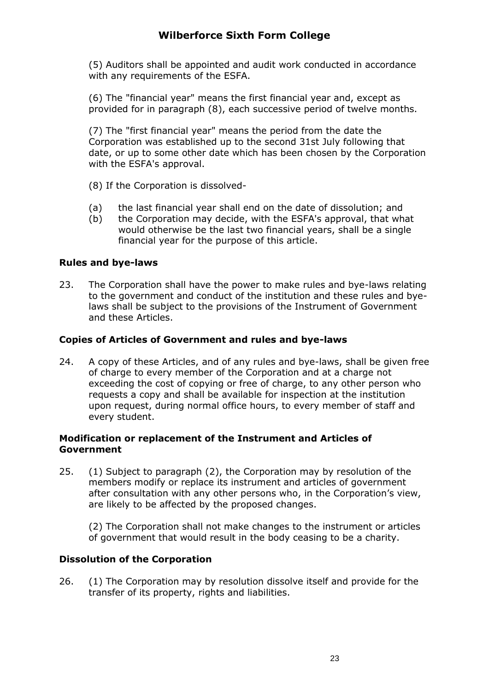(5) Auditors shall be appointed and audit work conducted in accordance with any requirements of the ESFA.

(6) The "financial year" means the first financial year and, except as provided for in paragraph (8), each successive period of twelve months.

(7) The "first financial year" means the period from the date the Corporation was established up to the second 31st July following that date, or up to some other date which has been chosen by the Corporation with the ESFA's approval.

- (8) If the Corporation is dissolved-
- (a) the last financial year shall end on the date of dissolution; and
- (b) the Corporation may decide, with the ESFA's approval, that what would otherwise be the last two financial years, shall be a single financial year for the purpose of this article.

### **Rules and bye-laws**

23. The Corporation shall have the power to make rules and bye-laws relating to the government and conduct of the institution and these rules and byelaws shall be subject to the provisions of the Instrument of Government and these Articles.

#### **Copies of Articles of Government and rules and bye-laws**

24. A copy of these Articles, and of any rules and bye-laws, shall be given free of charge to every member of the Corporation and at a charge not exceeding the cost of copying or free of charge, to any other person who requests a copy and shall be available for inspection at the institution upon request, during normal office hours, to every member of staff and every student.

#### **Modification or replacement of the Instrument and Articles of Government**

25. (1) Subject to paragraph (2), the Corporation may by resolution of the members modify or replace its instrument and articles of government after consultation with any other persons who, in the Corporation's view, are likely to be affected by the proposed changes.

(2) The Corporation shall not make changes to the instrument or articles of government that would result in the body ceasing to be a charity.

#### **Dissolution of the Corporation**

26. (1) The Corporation may by resolution dissolve itself and provide for the transfer of its property, rights and liabilities.